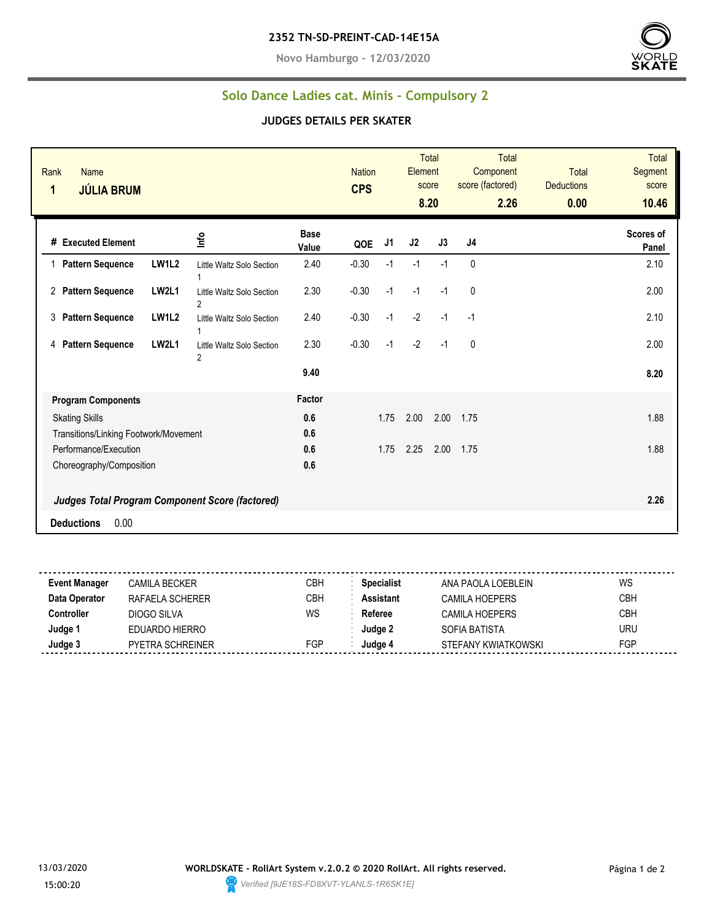**Novo Hamburgo - 12/03/2020**



## **Solo Dance Ladies cat. Minis - Compulsory 2**

## **JUDGES DETAILS PER SKATER**

| Rank<br><b>Name</b><br><b>JÚLIA BRUM</b><br>1                  |                                                             |                      | <b>Nation</b><br><b>CPS</b> |      | Element        | <b>Total</b><br>score<br>8.20 | <b>Total</b><br>Component<br>score (factored)<br>2.26 | <b>Total</b><br><b>Deductions</b><br>0.00 | <b>Total</b><br>Segment<br>score<br>10.46 |
|----------------------------------------------------------------|-------------------------------------------------------------|----------------------|-----------------------------|------|----------------|-------------------------------|-------------------------------------------------------|-------------------------------------------|-------------------------------------------|
| # Executed Element                                             | ١π٥                                                         | <b>Base</b><br>Value | QOE                         | J1   | J <sub>2</sub> | J3                            | J <sub>4</sub>                                        |                                           | Scores of<br>Panel                        |
| <b>Pattern Sequence</b>                                        | <b>LW1L2</b><br>Little Waltz Solo Section                   | 2.40                 | $-0.30$                     | $-1$ | $-1$           | $-1$                          | $\mathbf{0}$                                          |                                           | 2.10                                      |
| 2 Pattern Sequence                                             | <b>LW2L1</b><br>Little Waltz Solo Section<br>$\overline{2}$ | 2.30                 | $-0.30$                     | $-1$ | $-1$           | $-1$                          | 0                                                     |                                           | 2.00                                      |
| <b>Pattern Sequence</b><br>3                                   | <b>LW1L2</b><br>Little Waltz Solo Section                   | 2.40                 | $-0.30$                     | $-1$ | $-2$           | $-1$                          | $-1$                                                  |                                           | 2.10                                      |
| <b>Pattern Sequence</b><br>4                                   | <b>LW2L1</b><br>Little Waltz Solo Section<br>$\overline{2}$ | 2.30                 | $-0.30$                     | $-1$ | $-2$           | $-1$                          | 0                                                     |                                           | 2.00                                      |
|                                                                |                                                             | 9.40                 |                             |      |                |                               |                                                       |                                           | 8.20                                      |
| <b>Program Components</b>                                      |                                                             | Factor               |                             |      |                |                               |                                                       |                                           |                                           |
| <b>Skating Skills</b>                                          |                                                             | 0.6                  |                             | 1.75 | 2.00           | 2.00                          | 1.75                                                  |                                           | 1.88                                      |
| Transitions/Linking Footwork/Movement<br>Performance/Execution |                                                             | 0.6<br>0.6           |                             | 1.75 | 2.25           | 2.00                          | 1.75                                                  |                                           | 1.88                                      |
| Choreography/Composition                                       |                                                             | 0.6                  |                             |      |                |                               |                                                       |                                           |                                           |
|                                                                | Judges Total Program Component Score (factored)             |                      |                             |      |                |                               |                                                       |                                           | 2.26                                      |
| 0.00<br><b>Deductions</b>                                      |                                                             |                      |                             |      |                |                               |                                                       |                                           |                                           |

| <b>Event Manager</b> | CAMILA BECKER           | СВН | <b>Specialist</b> | ANA PAOLA LOEBLFIN  | WS  |
|----------------------|-------------------------|-----|-------------------|---------------------|-----|
| Data Operator        | RAFAELA SCHERER         | CBH | Assistant         | CAMILA HOEPERS      | CBH |
| Controller           | DIOGO SILVA             | WS  | Referee           | CAMILA HOEPERS      | СВН |
| Judge 1              | EDUARDO HIERRO          |     | Judae 2           | SOFIA BATISTA       | URU |
| Judge 3              | <b>PYETRA SCHREINER</b> | FGP | Judge 4           | STEFANY KWIATKOWSKI | FGP |
|                      |                         |     |                   |                     |     |